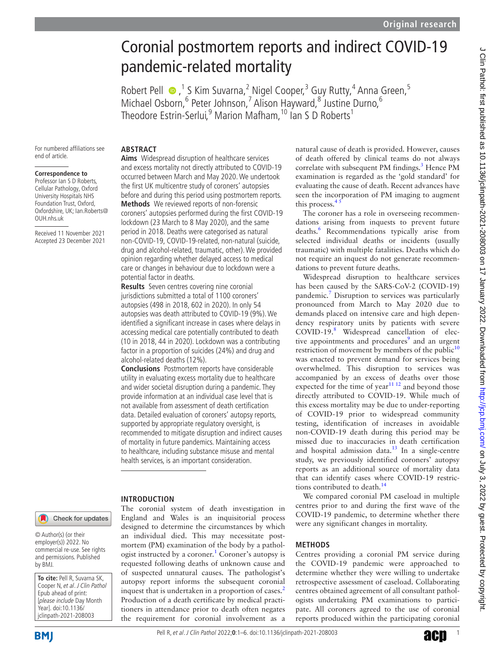# Coronial postmortem reports and indirect COVID-19 pandemic-related mortality

RobertPell  $\bullet$ , <sup>1</sup> S Kim Suvarna, <sup>2</sup> Nigel Cooper, <sup>3</sup> Guy Rutty, <sup>4</sup> Anna Green, <sup>5</sup> Michael Osborn, <sup>6</sup> Peter Johnson, <sup>7</sup> Alison Hayward, <sup>8</sup> Justine Durno, <sup>6</sup> Theodore Estrin-Serlui,<sup>9</sup> Marion Mafham,<sup>10</sup> Ian S D Roberts<sup>1</sup>

For numbered affiliations see end of article.

#### **Correspondence to**

Professor Ian S D Roberts, Cellular Pathology, Oxford University Hospitals NHS Foundation Trust, Oxford, Oxfordshire, UK; Ian.Roberts@ OUH.nhs.uk

Received 11 November 2021 Accepted 23 December 2021

## **ABSTRACT Aims** Widespread disruption of healthcare services and excess mortality not directly attributed to COVID-19 occurred between March and May 2020. We undertook the first UK multicentre study of coroners' autopsies before and during this period using postmortem reports. **Methods** We reviewed reports of non-forensic coroners' autopsies performed during the first COVID-19 lockdown (23 March to 8 May 2020), and the same period in 2018. Deaths were categorised as natural non-COVID-19, COVID-19-related, non-natural (suicide, drug and alcohol-related, traumatic, other). We provided opinion regarding whether delayed access to medical care or changes in behaviour due to lockdown were a potential factor in deaths.

**Results** Seven centres covering nine coronial jurisdictions submitted a total of 1100 coroners' autopsies (498 in 2018, 602 in 2020). In only 54 autopsies was death attributed to COVID-19 (9%). We identified a significant increase in cases where delays in accessing medical care potentially contributed to death (10 in 2018, 44 in 2020). Lockdown was a contributing factor in a proportion of suicides (24%) and drug and alcohol-related deaths (12%).

**Conclusions** Postmortem reports have considerable utility in evaluating excess mortality due to healthcare and wider societal disruption during a pandemic. They provide information at an individual case level that is not available from assessment of death certification data. Detailed evaluation of coroners' autopsy reports, supported by appropriate regulatory oversight, is recommended to mitigate disruption and indirect causes of mortality in future pandemics. Maintaining access to healthcare, including substance misuse and mental health services, is an important consideration.

#### **INTRODUCTION**

© Author(s) (or their employer(s)) 2022. No commercial re-use. See rights and permissions. Published by BMJ.

Check for updates

**To cite:** Pell R, Suvarna SK, Cooper N, et al. J Clin Pathol Epub ahead of print: [please include Day Month Year]. doi:10.1136/ jclinpath-2021-208003

The coronial system of death investigation in England and Wales is an inquisitorial process designed to determine the circumstances by which an individual died. This may necessitate postmortem (PM) examination of the body by a pathol-ogist instructed by a coroner.<sup>[1](#page-4-0)</sup> Coroner's autopsy is requested following deaths of unknown cause and of suspected unnatural causes. The pathologist's autopsy report informs the subsequent coronial inquest that is undertaken in a proportion of cases.<sup>[2](#page-4-1)</sup> Production of a death certificate by medical practitioners in attendance prior to death often negates the requirement for coronial involvement as a

natural cause of death is provided. However, causes of death offered by clinical teams do not always correlate with subsequent PM findings.<sup>3</sup> Hence PM examination is regarded as the 'gold standard' for evaluating the cause of death. Recent advances have seen the incorporation of PM imaging to augment this process. $45$ 

The coroner has a role in overseeing recommendations arising from inquests to prevent future deaths.[6](#page-4-4) Recommendations typically arise from selected individual deaths or incidents (usually traumatic) with multiple fatalities. Deaths which do not require an inquest do not generate recommendations to prevent future deaths.

Widespread disruption to healthcare services has been caused by the SARS-CoV-2 (COVID-19) pandemic.<sup>[7](#page-4-5)</sup> Disruption to services was particularly pronounced from March to May 2020 due to demands placed on intensive care and high dependency respiratory units by patients with severe COVID-19.[8](#page-4-6) Widespread cancellation of elec-tive appointments and procedures<sup>[9](#page-4-7)</sup> and an urgent restriction of movement by members of the public $10$ was enacted to prevent demand for services being overwhelmed. This disruption to services was accompanied by an excess of deaths over those  $\frac{1}{2}$  expected for the time of year<sup>11 12</sup> and beyond those directly attributed to COVID-19. While much of this excess mortality may be due to under-reporting of COVID-19 prior to widespread community testing, identification of increases in avoidable non-COVID-19 death during this period may be missed due to inaccuracies in death certification and hospital admission data. $13$  In a single-centre study, we previously identified coroners' autopsy reports as an additional source of mortality data that can identify cases where COVID-19 restric-tions contributed to death.<sup>[14](#page-5-0)</sup>

We compared coronial PM caseload in multiple centres prior to and during the first wave of the COVID-19 pandemic, to determine whether there were any significant changes in mortality.

## **METHODS**

Centres providing a coronial PM service during the COVID-19 pandemic were approached to determine whether they were willing to undertake retrospective assessment of caseload. Collaborating centres obtained agreement of all consultant pathologists undertaking PM examinations to participate. All coroners agreed to the use of coronial reports produced within the participating coronial

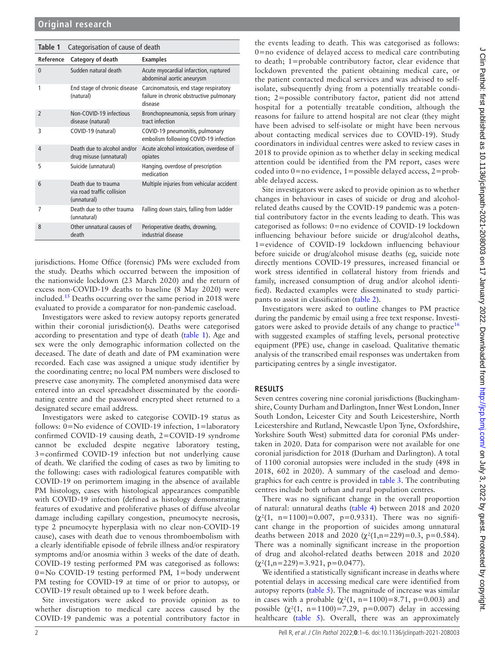<span id="page-1-0"></span>

| Table 1        | Categorisation of cause of death                                 |                                                                                              |  |  |  |  |
|----------------|------------------------------------------------------------------|----------------------------------------------------------------------------------------------|--|--|--|--|
| Reference      | Category of death                                                | <b>Examples</b>                                                                              |  |  |  |  |
| $\theta$       | Sudden natural death                                             | Acute myocardial infarction, ruptured<br>abdominal aortic aneurysm                           |  |  |  |  |
| 1              | End stage of chronic disease<br>(natural)                        | Carcinomatosis, end stage respiratory<br>failure in chronic obstructive pulmonary<br>disease |  |  |  |  |
| $\mathfrak{p}$ | Non-COVID-19 infectious<br>disease (natural)                     | Bronchopneumonia, sepsis from urinary<br>tract infection                                     |  |  |  |  |
| 3              | COVID-19 (natural)                                               | COVID-19 pneumonitis, pulmonary<br>embolism following COVID-19 infection                     |  |  |  |  |
| 4              | Death due to alcohol and/or<br>drug misuse (unnatural)           | Acute alcohol intoxication, overdose of<br>opiates                                           |  |  |  |  |
| 5              | Suicide (unnatural)                                              | Hanging, overdose of prescription<br>medication                                              |  |  |  |  |
| 6              | Death due to trauma<br>via road traffic collision<br>(unnatural) | Multiple injuries from vehicular accident                                                    |  |  |  |  |
| 7              | Death due to other trauma<br>(unnatural)                         | Falling down stairs, falling from ladder                                                     |  |  |  |  |
| 8              | Other unnatural causes of<br>death                               | Perioperative deaths, drowning,<br>industrial disease                                        |  |  |  |  |

jurisdictions. Home Office (forensic) PMs were excluded from the study. Deaths which occurred between the imposition of the nationwide lockdown (23 March 2020) and the return of excess non-COVID-19 deaths to baseline (8 May 2020) were included.<sup>[15](#page-5-1)</sup> Deaths occurring over the same period in 2018 were evaluated to provide a comparator for non-pandemic caseload.

Investigators were asked to review autopsy reports generated within their coronial jurisdiction(s). Deaths were categorised according to presentation and type of death [\(table](#page-1-0) 1). Age and sex were the only demographic information collected on the deceased. The date of death and date of PM examination were recorded. Each case was assigned a unique study identifier by the coordinating centre; no local PM numbers were disclosed to preserve case anonymity. The completed anonymised data were entered into an excel spreadsheet disseminated by the coordinating centre and the password encrypted sheet returned to a designated secure email address.

Investigators were asked to categorise COVID-19 status as follows: 0=No evidence of COVID-19 infection, 1=laboratory confirmed COVID-19 causing death, 2=COVID-19 syndrome cannot be excluded despite negative laboratory testing, 3=confirmed COVID-19 infection but not underlying cause of death. We clarified the coding of cases as two by limiting to the following: cases with radiological features compatible with COVID-19 on perimortem imaging in the absence of available PM histology, cases with histological appearances compatible with COVID-19 infection (defined as histology demonstrating features of exudative and proliferative phases of diffuse alveolar damage including capillary congestion, pneumocyte necrosis, type 2 pneumocyte hyperplasia with no clear non-COVID-19 cause), cases with death due to venous thromboembolism with a clearly identifiable episode of febrile illness and/or respiratory symptoms and/or anosmia within 3 weeks of the date of death. COVID-19 testing performed PM was categorised as follows: 0=No COVID-19 testing performed PM, 1=body underwent PM testing for COVID-19 at time of or prior to autopsy, or COVID-19 result obtained up to 1 week before death.

Site investigators were asked to provide opinion as to whether disruption to medical care access caused by the COVID-19 pandemic was a potential contributory factor in

the events leading to death. This was categorised as follows: 0=no evidence of delayed access to medical care contributing to death; 1=probable contributory factor, clear evidence that lockdown prevented the patient obtaining medical care, or the patient contacted medical services and was advised to selfisolate, subsequently dying from a potentially treatable condition; 2=possible contributory factor, patient did not attend hospital for a potentially treatable condition, although the reasons for failure to attend hospital are not clear (they might have been advised to self-isolate or might have been nervous about contacting medical services due to COVID-19). Study coordinators in individual centres were asked to review cases in 2018 to provide opinion as to whether delay in seeking medical attention could be identified from the PM report, cases were coded into 0=no evidence, 1=possible delayed access, 2=probable delayed access.

Site investigators were asked to provide opinion as to whether changes in behaviour in cases of suicide or drug and alcoholrelated deaths caused by the COVID-19 pandemic was a potential contributory factor in the events leading to death. This was categorised as follows: 0=no evidence of COVID-19 lockdown influencing behaviour before suicide or drug/alcohol deaths, 1=evidence of COVID-19 lockdown influencing behaviour before suicide or drug/alcohol misuse deaths (eg, suicide note directly mentions COVID-19 pressures, increased financial or work stress identified in collateral history from friends and family, increased consumption of drug and/or alcohol identified). Redacted examples were disseminated to study participants to assist in classification ([table](#page-2-0) 2).

Investigators were asked to outline changes to PM practice during the pandemic by email using a free text response. Investi-gators were asked to provide details of any change to practice<sup>[16](#page-5-2)</sup> with suggested examples of staffing levels, personal protective equipment (PPE) use, change in caseload. Qualitative thematic analysis of the transcribed email responses was undertaken from participating centres by a single investigator.

## **RESULTS**

Seven centres covering nine coronial jurisdictions (Buckinghamshire, County Durham and Darlington, Inner West London, Inner South London, Leicester City and South Leicestershire, North Leicestershire and Rutland, Newcastle Upon Tyne, Oxfordshire, Yorkshire South West) submitted data for coronial PMs undertaken in 2020. Data for comparison were not available for one coronial jurisdiction for 2018 (Durham and Darlington). A total of 1100 coronial autopsies were included in the study (498 in 2018, 602 in 2020). A summary of the caseload and demographics for each centre is provided in [table](#page-2-1) 3. The contributing centres include both urban and rural population centres.

There was no significant change in the overall proportion of natural: unnatural deaths [\(table](#page-3-0) 4) between 2018 and 2020  $(\chi^2(1, n=1100)=0.007, p=0.9331)$ . There was no significant change in the proportion of suicides among unnatural deaths between 2018 and 2020 ( $\chi^2(1,n=229)=0.3$ , p=0.584). There was a nominally significant increase in the proportion of drug and alcohol-related deaths between 2018 and 2020  $(\chi^2(1,n=229)=3.921, p=0.0477).$ 

We identified a statistically significant increase in deaths where potential delays in accessing medical care were identified from autopsy reports ([table](#page-3-1) 5). The magnitude of increase was similar in cases with a probable  $(\chi^2(1, n=1100)=8.71, p=0.003)$  and possible  $(χ<sup>2</sup>(1, n=1100)=7.29, p=0.007)$  delay in accessing healthcare ([table](#page-3-1) 5). Overall, there was an approximately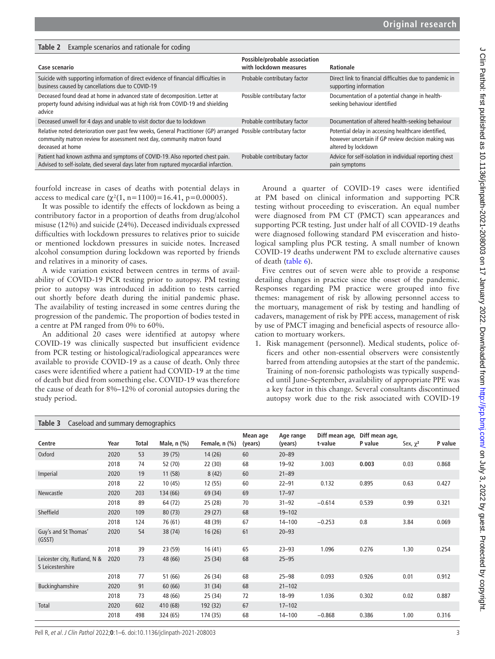| Tapie z<br><b>Example scenarios and rationale for county</b>                                                                                                                        |                                                         |                                                                                                                                  |  |  |  |  |
|-------------------------------------------------------------------------------------------------------------------------------------------------------------------------------------|---------------------------------------------------------|----------------------------------------------------------------------------------------------------------------------------------|--|--|--|--|
| Case scenario                                                                                                                                                                       | Possible/probable association<br>with lockdown measures | Rationale                                                                                                                        |  |  |  |  |
| Suicide with supporting information of direct evidence of financial difficulties in<br>business caused by cancellations due to COVID-19                                             | Probable contributary factor                            | Direct link to financial difficulties due to pandemic in<br>supporting information                                               |  |  |  |  |
| Deceased found dead at home in advanced state of decomposition. Letter at<br>property found advising individual was at high risk from COVID-19 and shielding<br>advice              | Possible contributary factor                            | Documentation of a potential change in health-<br>seeking behaviour identified                                                   |  |  |  |  |
| Deceased unwell for 4 days and unable to visit doctor due to lockdown                                                                                                               | Probable contributary factor                            | Documentation of altered health-seeking behaviour                                                                                |  |  |  |  |
| Relative noted deterioration over past few weeks, General Practitioner (GP) arranged<br>community matron review for assessment next day, community matron found<br>deceased at home | Possible contributary factor                            | Potential delay in accessing healthcare identified,<br>however uncertain if GP review decision making was<br>altered by lockdown |  |  |  |  |
| Patient had known asthma and symptoms of COVID-19. Also reported chest pain.<br>Advised to self-isolate, died several days later from ruptured myocardial infarction.               | Probable contributary factor                            | Advice for self-isolation in individual reporting chest<br>pain symptoms                                                         |  |  |  |  |

fourfold increase in cases of deaths with potential delays in access to medical care  $(\gamma^2(1, n=1100)=16.41, p=0.00005)$ .

<span id="page-2-0"></span>**Table 2** Example scenarios and rationale for coding

It was possible to identify the effects of lockdown as being a contributory factor in a proportion of deaths from drug/alcohol misuse (12%) and suicide (24%). Deceased individuals expressed difficulties with lockdown pressures to relatives prior to suicide or mentioned lockdown pressures in suicide notes. Increased alcohol consumption during lockdown was reported by friends and relatives in a minority of cases.

A wide variation existed between centres in terms of availability of COVID-19 PCR testing prior to autopsy. PM testing prior to autopsy was introduced in addition to tests carried out shortly before death during the initial pandemic phase. The availability of testing increased in some centres during the progression of the pandemic. The proportion of bodies tested in a centre at PM ranged from 0% to 60%.

An additional 20 cases were identified at autopsy where COVID-19 was clinically suspected but insufficient evidence from PCR testing or histological/radiological appearances were available to provide COVID-19 as a cause of death. Only three cases were identified where a patient had COVID-19 at the time of death but died from something else. COVID-19 was therefore the cause of death for 8%–12% of coronial autopsies during the study period.

Around a quarter of COVID-19 cases were identified at PM based on clinical information and supporting PCR testing without proceeding to evisceration. An equal number were diagnosed from PM CT (PMCT) scan appearances and supporting PCR testing. Just under half of all COVID-19 deaths were diagnosed following standard PM evisceration and histological sampling plus PCR testing. A small number of known COVID-19 deaths underwent PM to exclude alternative causes of death [\(table](#page-3-2) 6).

Five centres out of seven were able to provide a response detailing changes in practice since the onset of the pandemic. Responses regarding PM practice were grouped into five themes: management of risk by allowing personnel access to the mortuary, management of risk by testing and handling of cadavers, management of risk by PPE access, management of risk by use of PMCT imaging and beneficial aspects of resource allocation to mortuary workers.

1. Risk management (personnel). Medical students, police officers and other non-essential observers were consistently barred from attending autopsies at the start of the pandemic. Training of non-forensic pathologists was typically suspended until June–September, availability of appropriate PPE was a key factor in this change. Several consultants discontinued autopsy work due to the risk associated with COVID-19

<span id="page-2-1"></span>

| Caseload and summary demographics<br>Table 3     |      |       |             |               |                     |                      |                           |                           |               |         |
|--------------------------------------------------|------|-------|-------------|---------------|---------------------|----------------------|---------------------------|---------------------------|---------------|---------|
| Centre                                           | Year | Total | Male, n (%) | Female, n (%) | Mean age<br>(years) | Age range<br>(years) | Diff mean age,<br>t-value | Diff mean age,<br>P value | Sex, $\chi^2$ | P value |
| Oxford                                           | 2020 | 53    | 39(75)      | 14(26)        | 60                  | $20 - 89$            |                           |                           |               |         |
|                                                  | 2018 | 74    | 52 (70)     | 22(30)        | 68                  | $19 - 92$            | 3.003                     | 0.003                     | 0.03          | 0.868   |
| Imperial                                         | 2020 | 19    | 11(58)      | 8(42)         | 60                  | $21 - 89$            |                           |                           |               |         |
|                                                  | 2018 | 22    | 10(45)      | 12(55)        | 60                  | $22 - 91$            | 0.132                     | 0.895                     | 0.63          | 0.427   |
| Newcastle                                        | 2020 | 203   | 134 (66)    | 69 (34)       | 69                  | $17 - 97$            |                           |                           |               |         |
|                                                  | 2018 | 89    | 64 (72)     | 25(28)        | 70                  | $31 - 92$            | $-0.614$                  | 0.539                     | 0.99          | 0.321   |
| Sheffield                                        | 2020 | 109   | 80(73)      | 29(27)        | 68                  | $19 - 102$           |                           |                           |               |         |
|                                                  | 2018 | 124   | 76 (61)     | 48 (39)       | 67                  | $14 - 100$           | $-0.253$                  | 0.8                       | 3.84          | 0.069   |
| Guy's and St Thomas'<br>(GSST)                   | 2020 | 54    | 38 (74)     | 16(26)        | 61                  | $20 - 93$            |                           |                           |               |         |
|                                                  | 2018 | 39    | 23 (59)     | 16(41)        | 65                  | $23 - 93$            | 1.096                     | 0.276                     | 1.30          | 0.254   |
| Leicester city, Rutland, N &<br>S Leicestershire | 2020 | 73    | 48 (66)     | 25(34)        | 68                  | $25 - 95$            |                           |                           |               |         |
|                                                  | 2018 | 77    | 51 (66)     | 26 (34)       | 68                  | $25 - 98$            | 0.093                     | 0.926                     | 0.01          | 0.912   |
| Buckinghamshire                                  | 2020 | 91    | 60(66)      | 31(34)        | 68                  | $21 - 102$           |                           |                           |               |         |
|                                                  | 2018 | 73    | 48 (66)     | 25 (34)       | 72                  | $18 - 99$            | 1.036                     | 0.302                     | 0.02          | 0.887   |
| Total                                            | 2020 | 602   | 410 (68)    | 192 (32)      | 67                  | $17 - 102$           |                           |                           |               |         |
|                                                  | 2018 | 498   | 324 (65)    | 174 (35)      | 68                  | $14 - 100$           | $-0.868$                  | 0.386                     | 1.00          | 0.316   |

J Clin Pathol: first published as 10.1136/jclinpath-2021-208003 on 17 January 2022. Downloaded from http://jcp.bmj.com/ on July 3, 2022 by guest. Protected by copyright J Clin Pathol: first published as 10.1136/jclinpath-2021-208003 on 17 January 2022. Downloaded from <http://jcp.bmj.com/> on July 3, 2022 by guest. Protected by copyright.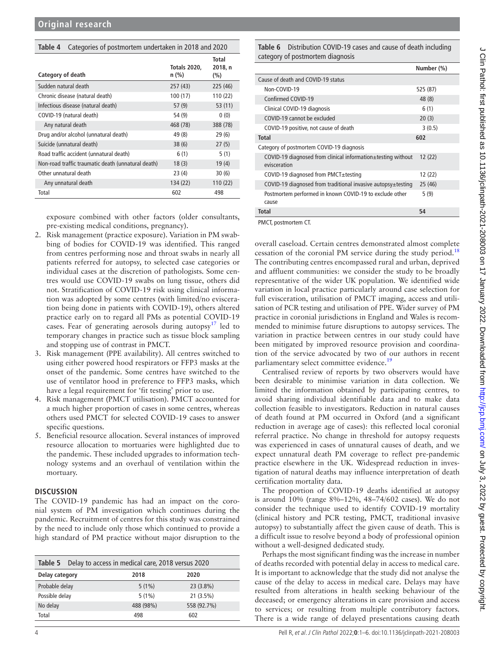T

<span id="page-3-0"></span>

| Categories of postmortem undertaken in 2018 and 2020<br>Table 4 |                                |                             |  |  |  |  |
|-----------------------------------------------------------------|--------------------------------|-----------------------------|--|--|--|--|
| Category of death                                               | <b>Totals 2020,</b><br>$n$ (%) | Total<br>2018, n<br>$(\% )$ |  |  |  |  |
| Sudden natural death                                            | 257(43)                        | 225 (46)                    |  |  |  |  |
| Chronic disease (natural death)                                 | 100(17)                        | 110 (22)                    |  |  |  |  |
| Infectious disease (natural death)                              | 57(9)                          | 53(11)                      |  |  |  |  |
| COVID-19 (natural death)                                        | 54 (9)                         | 0(0)                        |  |  |  |  |
| Any natural death                                               | 468 (78)                       | 388 (78)                    |  |  |  |  |
| Drug and/or alcohol (unnatural death)                           | 49 (8)                         | 29(6)                       |  |  |  |  |
| Suicide (unnatural death)                                       | 38(6)                          | 27(5)                       |  |  |  |  |
| Road traffic accident (unnatural death)                         | 6(1)                           | 5(1)                        |  |  |  |  |
| Non-road traffic traumatic death (unnatural death)              | 18(3)                          | 19(4)                       |  |  |  |  |
| Other unnatural death                                           | 23(4)                          | 30(6)                       |  |  |  |  |
| Any unnatural death                                             | 134 (22)                       | 110 (22)                    |  |  |  |  |
| Total                                                           | 602                            | 498                         |  |  |  |  |

exposure combined with other factors (older consultants, pre-existing medical conditions, pregnancy).

- 2. Risk management (practice exposure). Variation in PM swabbing of bodies for COVID-19 was identified. This ranged from centres performing nose and throat swabs in nearly all patients referred for autopsy, to selected case categories or individual cases at the discretion of pathologists. Some centres would use COVID-19 swabs on lung tissue, others did not. Stratification of COVID-19 risk using clinical information was adopted by some centres (with limited/no evisceration being done in patients with COVID-19), others altered practice early on to regard all PMs as potential COVID-19 cases. Fear of generating aerosols during autopsy<sup>17</sup> led to temporary changes in practice such as tissue block sampling and stopping use of contrast in PMCT.
- 3. Risk management (PPE availability). All centres switched to using either powered hood respirators or FFP3 masks at the onset of the pandemic. Some centres have switched to the use of ventilator hood in preference to FFP3 masks, which have a legal requirement for 'fit testing' prior to use.
- 4. Risk management (PMCT utilisation). PMCT accounted for a much higher proportion of cases in some centres, whereas others used PMCT for selected COVID-19 cases to answer specific questions.
- 5. Beneficial resource allocation. Several instances of improved resource allocation to mortuaries were highlighted due to the pandemic. These included upgrades to information technology systems and an overhaul of ventilation within the mortuary.

## **DISCUSSION**

The COVID-19 pandemic has had an impact on the coronial system of PM investigation which continues during the pandemic. Recruitment of centres for this study was constrained by the need to include only those which continued to provide a high standard of PM practice without major disruption to the

<span id="page-3-1"></span>

|                | Table 5 Delay to access in medical care, 2018 versus 2020 |           |             |  |  |
|----------------|-----------------------------------------------------------|-----------|-------------|--|--|
| Delay category |                                                           | 2018      | 2020        |  |  |
| Probable delay |                                                           | $5(1\%)$  | $23(3.8\%)$ |  |  |
| Possible delay |                                                           | $5(1\%)$  | $21(3.5\%)$ |  |  |
| No delay       |                                                           | 488 (98%) | 558 (92.7%) |  |  |
| Total          |                                                           | 498       | 602         |  |  |

<span id="page-3-2"></span>**Table 6** Distribution COVID-19 cases and cause of death including category of postmortem diagnosis

|                                                                              | Number (%) |
|------------------------------------------------------------------------------|------------|
| Cause of death and COVID-19 status                                           |            |
| Non-COVID-19                                                                 | 525 (87)   |
| Confirmed COVID-19                                                           | 48 (8)     |
| Clinical COVID-19 diagnosis                                                  | 6(1)       |
| COVID-19 cannot be excluded                                                  | 20(3)      |
| COVID-19 positive, not cause of death                                        | 3(0.5)     |
| <b>Total</b>                                                                 | 602        |
| Category of postmortem COVID-19 diagnosis                                    |            |
| COVID-19 diagnosed from clinical information±testing without<br>evisceration | 12(22)     |
| COVID-19 diagnosed from PMCT $\pm$ testing                                   | 12 (22)    |
| COVID-19 diagnosed from traditional invasive autopsy±testing                 | 25(46)     |
| Postmortem performed in known COVID-19 to exclude other<br>cause             | 5(9)       |
| Total                                                                        | 54         |

PMCT, postmortem CT.

overall caseload. Certain centres demonstrated almost complete cessation of the coronial PM service during the study period.<sup>[18](#page-5-4)</sup> The contributing centres encompassed rural and urban, deprived and affluent communities: we consider the study to be broadly representative of the wider UK population. We identified wide variation in local practice particularly around case selection for full evisceration, utilisation of PMCT imaging, access and utilisation of PCR testing and utilisation of PPE. Wider survey of PM practice in coronial jurisdictions in England and Wales is recommended to minimise future disruptions to autopsy services. The variation in practice between centres in our study could have been mitigated by improved resource provision and coordination of the service advocated by two of our authors in recent parliamentary select committee evidence.<sup>19</sup>

Centralised review of reports by two observers would have been desirable to minimise variation in data collection. We limited the information obtained by participating centres, to avoid sharing individual identifiable data and to make data collection feasible to investigators. Reduction in natural causes of death found at PM occurred in Oxford (and a significant reduction in average age of cases): this reflected local coronial referral practice. No change in threshold for autopsy requests was experienced in cases of unnatural causes of death, and we expect unnatural death PM coverage to reflect pre-pandemic practice elsewhere in the UK. Widespread reduction in investigation of natural deaths may influence interpretation of death certification mortality data.

The proportion of COVID-19 deaths identified at autopsy is around 10% (range 8%–12%, 48–74/602 cases). We do not consider the technique used to identify COVID-19 mortality (clinical history and PCR testing, PMCT, traditional invasive autopsy) to substantially affect the given cause of death. This is a difficult issue to resolve beyond a body of professional opinion without a well-designed dedicated study.

Perhaps the most significant finding was the increase in number of deaths recorded with potential delay in access to medical care. It is important to acknowledge that the study did not analyse the cause of the delay to access in medical care. Delays may have resulted from alterations in health seeking behaviour of the deceased; or emergency alterations in care provision and access to services; or resulting from multiple contributory factors. There is a wide range of delayed presentations causing death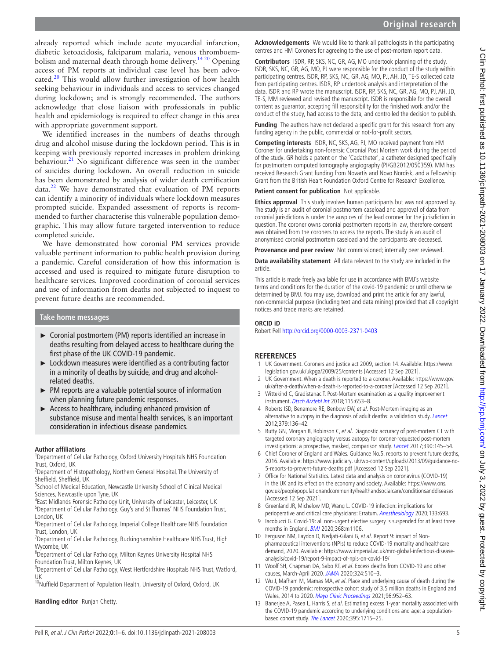already reported which include acute myocardial infarction, diabetic ketoacidosis, falciparum malaria, venous thromboembolism and maternal death through home delivery.<sup>14 20</sup> Opening access of PM reports at individual case level has been advo-cated.<sup>[20](#page-5-6)</sup> This would allow further investigation of how health seeking behaviour in individuals and access to services changed during lockdown; and is strongly recommended. The authors acknowledge that close liaison with professionals in public health and epidemiology is required to effect change in this area with appropriate government support.

We identified increases in the numbers of deaths through drug and alcohol misuse during the lockdown period. This is in keeping with previously reported increases in problem drinking behaviour. $^{21}$  No significant difference was seen in the number of suicides during lockdown. An overall reduction in suicide has been demonstrated by analysis of wider death certification  $data.<sup>22</sup>$  We have demonstrated that evaluation of PM reports can identify a minority of individuals where lockdown measures prompted suicide. Expanded assessment of reports is recommended to further characterise this vulnerable population demographic. This may allow future targeted intervention to reduce completed suicide.

We have demonstrated how coronial PM services provide valuable pertinent information to public health provision during a pandemic. Careful consideration of how this information is accessed and used is required to mitigate future disruption to healthcare services. Improved coordination of coronial services and use of information from deaths not subjected to inquest to prevent future deaths are recommended.

## **Take home messages**

- ► Coronial postmortem (PM) reports identified an increase in deaths resulting from delayed access to healthcare during the first phase of the UK COVID-19 pandemic.
- ► Lockdown measures were identified as a contributing factor in a minority of deaths by suicide, and drug and alcoholrelated deaths.
- ► PM reports are a valuable potential source of information when planning future pandemic responses.
- ► Access to healthcare, including enhanced provision of substance misuse and mental health services, is an important consideration in infectious disease pandemics.

#### **Author affiliations**

<sup>1</sup>Department of Cellular Pathology, Oxford University Hospitals NHS Foundation Trust, Oxford, UK

<sup>2</sup>Department of Histopathology, Northern General Hospital, The University of Sheffield, Sheffield, UK

<sup>3</sup>School of Medical Education, Newcastle University School of Clinical Medical Sciences, Newcastle upon Tyne, UK

<sup>4</sup> East Midlands Forensic Pathology Unit, University of Leicester, Leicester, UK <sup>5</sup>Department of Cellular Pathology, Guy's and St Thomas' NHS Foundation Trust, London, UK

6 Department of Cellular Pathology, Imperial College Healthcare NHS Foundation Trust, London, UK

<sup>7</sup>Department of Cellular Pathology, Buckinghamshire Healthcare NHS Trust, High Wycombe, UK

<sup>8</sup> Department of Cellular Pathology, Milton Keynes University Hospital NHS Foundation Trust, Milton Keynes, UK

<sup>9</sup>Department of Cellular Pathology, West Hertfordshire Hospitals NHS Trust, Watford, UK

<sup>10</sup>Nuffield Department of Population Health, University of Oxford, Oxford, UK

**Handling editor** Runjan Chetty.

**Acknowledgements** We would like to thank all pathologists in the participating centres and HM Coroners for agreeing to the use of post-mortem report data.

**Contributors** ISDR, RP, SKS, NC, GR, AG, MO undertook planning of the study. ISDR, SKS, NC, GR, AG, MO, PJ were responsible for the conduct of the study within participating centres. ISDR, RP, SKS, NC, GR, AG, MO, PJ, AH, JD, TE-S collected data from participating centres. ISDR, RP undertook analysis and interpretation of the data. ISDR and RP wrote the manuscript. ISDR, RP, SKS, NC, GR, AG, MO, PJ, AH, JD, TE-S, MM reviewed and revised the manuscript. ISDR is responsible for the overall content as guarantor, accepting fill responsibility for the finished work and/or the conduct of the study, had access to the data, and controlled the decision to publish.

**Funding** The authors have not declared a specific grant for this research from any funding agency in the public, commercial or not-for-profit sectors.

**Competing interests** ISDR, NC, SKS, AG, PJ, MO received payment from HM Coroner for undertaking non-forensic Coronial Post Mortem work during the period of the study. GR holds a patent on the 'Cadatheter', a catheter designed specifically for postmortem computed tomography angiography (PI/GB2012/050359). MM has received Research Grant funding from Novartis and Novo Nordisk, and a Fellowship Grant from the British Heart Foundation Oxford Centre for Research Excellence.

#### **Patient consent for publication** Not applicable.

**Ethics approval** This study involves human participants but was not approved by. The study is an audit of coronial postmortem caseload and approval of data from coronial jurisdictions is under the auspices of the lead coroner for the jurisdiction in question. The coroner owns coronial postmortem reports in law, therefore consent was obtained from the coroners to access the reports. The study is an audit of anonymised coronial postmortem caseload and the participants are deceased.

**Provenance and peer review** Not commissioned; internally peer reviewed.

**Data availability statement** All data relevant to the study are included in the article.

This article is made freely available for use in accordance with BMJ's website terms and conditions for the duration of the covid-19 pandemic or until otherwise determined by BMJ. You may use, download and print the article for any lawful, non-commercial purpose (including text and data mining) provided that all copyright notices and trade marks are retained.

## **ORCID iD**

Robert Pell <http://orcid.org/0000-0003-2371-0403>

## **REFERENCES**

- <span id="page-4-0"></span>1 UK Government. Coroners and justice act 2009, section 14. Available: [https://www.](https://www.legislation.gov.uk/ukpga/2009/25/contents) [legislation.gov.uk/ukpga/2009/25/contents](https://www.legislation.gov.uk/ukpga/2009/25/contents) [Accessed 12 Sep 2021].
- <span id="page-4-1"></span>2 UK Government. When a death is reported to a coroner. Available: [https://www.gov.](https://www.gov.uk/after-a-death/when-a-death-is-reported-to-a-coroner) [uk/after-a-death/when-a-death-is-reported-to-a-coroner](https://www.gov.uk/after-a-death/when-a-death-is-reported-to-a-coroner) [Accessed 12 Sep 2021].
- <span id="page-4-2"></span>3 Wittekind C, Gradistanac T. Post-Mortem examination as a quality improvement instrument. [Dtsch Arztebl Int](http://dx.doi.org/10.3238/arztebl.2018.0653) 2018;115:653-8.
- <span id="page-4-3"></span>4 Roberts ISD, Benamore RE, Benbow EW, et al. Post-Mortem imaging as an alternative to autopsy in the diagnosis of adult deaths: a validation study. [Lancet](http://dx.doi.org/10.1016/S0140-6736(11)61483-9) 2012;379:136–42.
- 5 Rutty GN, Morgan B, Robinson C, et al. Diagnostic accuracy of post-mortem CT with targeted coronary angiography versus autopsy for coroner-requested post-mortem investigations: a prospective, masked, comparison study. *[Lancet](http://dx.doi.org/10.1016/S0140-6736(17)30333-1)* 2017;390:145-54.
- <span id="page-4-4"></span>6 Chief Coroner of England and Wales. Guidance No.5. reports to prevent future deaths, 2016. Available: [https://www.judiciary. uk/wp-content/uploads/2013/09/guidance-no-](https://www.judiciary.%20uk/wp-content/uploads/2013/09/guidance-no-5-reports-to-prevent-future-deaths.pdf)[5-reports-to-prevent-future-deaths.pdf](https://www.judiciary.%20uk/wp-content/uploads/2013/09/guidance-no-5-reports-to-prevent-future-deaths.pdf) [Accessed 12 Sep 2021].
- <span id="page-4-5"></span>7 Office for National Statistics. Latest data and analysis on coronavirus (COVID-19) in the UK and its effect on the economy and society. Available: [https://www.ons.](https://www.ons.gov.uk/peoplepopulationandcommunity/healthandsocialcare/conditionsanddiseases) [gov.uk/peoplepopulationandcommunity/healthandsocialcare/conditionsanddiseases](https://www.ons.gov.uk/peoplepopulationandcommunity/healthandsocialcare/conditionsanddiseases)  [Accessed 12 Sep 2021].
- <span id="page-4-6"></span>8 Greenland JR, Michelow MD, Wang L. COVID-19 infection: implications for perioperative and critical care physicians: Erratum. [Anesthesiology](http://dx.doi.org/10.1097/ALN.0000000000003454) 2020;133:693.
- <span id="page-4-7"></span>9 Iacobucci G. Covid-19: all non-urgent elective surgery is suspended for at least three months in England. **[BMJ](http://dx.doi.org/10.1136/bmj.m1106)** 2020;368:m1106.
- <span id="page-4-8"></span>10 Ferguson NM, Laydon D, Nedjati-Gilani G, et al. Report 9: impact of Nonpharmaceutical interventions (NPIs) to reduce COVID-19 mortality and healthcare demand, 2020. Available: [https://www.imperial.ac.uk/mrc-global-infectious-disease](https://www.imperial.ac.uk/mrc-global-infectious-disease-analysis/covid-19/report-9-impact-of-npis-on-covid-19/)[analysis/covid-19/report-9-impact-of-npis-on-covid-19/](https://www.imperial.ac.uk/mrc-global-infectious-disease-analysis/covid-19/report-9-impact-of-npis-on-covid-19/)
- <span id="page-4-9"></span>11 Woolf SH, Chapman DA, Sabo RT, et al. Excess deaths from COVID-19 and other causes, March-April 2020. [JAMA](http://dx.doi.org/10.1001/jama.2020.11787) 2020;324:510–3.
- 12 Wu J, Mafham M, Mamas MA, et al. Place and underlying cause of death during the COVID-19 pandemic: retrospective cohort study of 3.5 million deaths in England and Wales, 2014 to 2020. [Mayo Clinic Proceedings](http://dx.doi.org/10.1016/j.mayocp.2021.02.007) 2021;96:952–63.
- <span id="page-4-10"></span>13 Banerjee A, Pasea L, Harris S, et al. Estimating excess 1-year mortality associated with the COVID-19 pandemic according to underlying conditions and age: a population-based cohort study. [The Lancet](http://dx.doi.org/10.1016/S0140-6736(20)30854-0) 2020;395:1715-25.